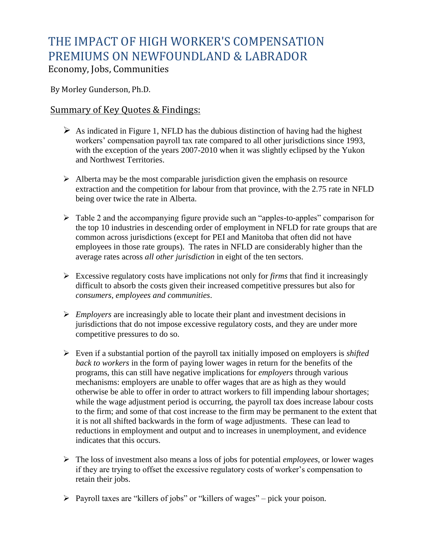## THE IMPACT OF HIGH WORKER'S COMPENSATION PREMIUMS ON NEWFOUNDLAND & LABRADOR

Economy, Jobs, Communities

By Morley Gunderson, Ph.D.

## Summary of Key Quotes & Findings:

- $\triangleright$  As indicated in Figure 1, NFLD has the dubious distinction of having had the highest workers' compensation payroll tax rate compared to all other jurisdictions since 1993, with the exception of the years 2007-2010 when it was slightly eclipsed by the Yukon and Northwest Territories.
- $\triangleright$  Alberta may be the most comparable jurisdiction given the emphasis on resource extraction and the competition for labour from that province, with the 2.75 rate in NFLD being over twice the rate in Alberta.
- $\triangleright$  Table 2 and the accompanying figure provide such an "apples-to-apples" comparison for the top 10 industries in descending order of employment in NFLD for rate groups that are common across jurisdictions (except for PEI and Manitoba that often did not have employees in those rate groups). The rates in NFLD are considerably higher than the average rates across *all other jurisdiction* in eight of the ten sectors.
- Excessive regulatory costs have implications not only for *firms* that find it increasingly difficult to absorb the costs given their increased competitive pressures but also for *consumers, employees and communities*.
- *Employers* are increasingly able to locate their plant and investment decisions in jurisdictions that do not impose excessive regulatory costs, and they are under more competitive pressures to do so.
- Even if a substantial portion of the payroll tax initially imposed on employers is *shifted back to workers* in the form of paying lower wages in return for the benefits of the programs, this can still have negative implications for *employers* through various mechanisms: employers are unable to offer wages that are as high as they would otherwise be able to offer in order to attract workers to fill impending labour shortages; while the wage adjustment period is occurring, the payroll tax does increase labour costs to the firm; and some of that cost increase to the firm may be permanent to the extent that it is not all shifted backwards in the form of wage adjustments. These can lead to reductions in employment and output and to increases in unemployment, and evidence indicates that this occurs.
- The loss of investment also means a loss of jobs for potential *employees*, or lower wages if they are trying to offset the excessive regulatory costs of worker's compensation to retain their jobs.
- $\triangleright$  Payroll taxes are "killers of jobs" or "killers of wages" pick your poison.